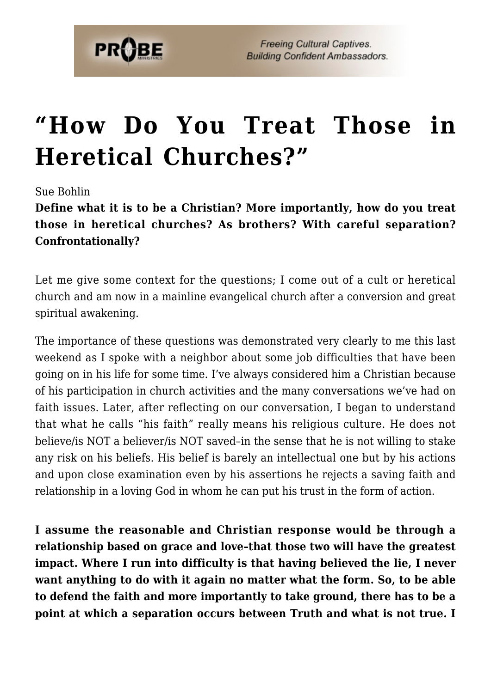

## **["How Do You Treat Those in](https://probe.org/how-do-you-treat-those-in-heretical-churches/) [Heretical Churches?"](https://probe.org/how-do-you-treat-those-in-heretical-churches/)**

## Sue Bohlin

**Define what it is to be a Christian? More importantly, how do you treat those in heretical churches? As brothers? With careful separation? Confrontationally?**

Let me give some context for the questions; I come out of a cult or heretical church and am now in a mainline evangelical church after a conversion and great spiritual awakening.

The importance of these questions was demonstrated very clearly to me this last weekend as I spoke with a neighbor about some job difficulties that have been going on in his life for some time. I've always considered him a Christian because of his participation in church activities and the many conversations we've had on faith issues. Later, after reflecting on our conversation, I began to understand that what he calls "his faith" really means his religious culture. He does not believe/is NOT a believer/is NOT saved–in the sense that he is not willing to stake any risk on his beliefs. His belief is barely an intellectual one but by his actions and upon close examination even by his assertions he rejects a saving faith and relationship in a loving God in whom he can put his trust in the form of action.

**I assume the reasonable and Christian response would be through a relationship based on grace and love–that those two will have the greatest impact. Where I run into difficulty is that having believed the lie, I never want anything to do with it again no matter what the form. So, to be able to defend the faith and more importantly to take ground, there has to be a point at which a separation occurs between Truth and what is not true. I**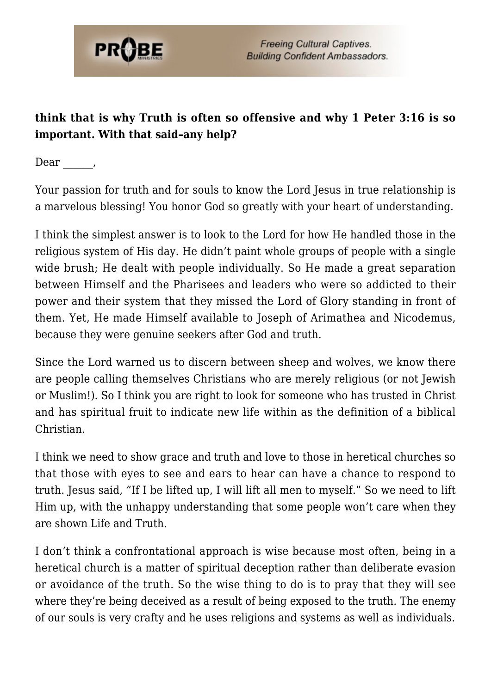

## **think that is why Truth is often so offensive and why 1 Peter 3:16 is so important. With that said–any help?**

Dear,

Your passion for truth and for souls to know the Lord Jesus in true relationship is a marvelous blessing! You honor God so greatly with your heart of understanding.

I think the simplest answer is to look to the Lord for how He handled those in the religious system of His day. He didn't paint whole groups of people with a single wide brush; He dealt with people individually. So He made a great separation between Himself and the Pharisees and leaders who were so addicted to their power and their system that they missed the Lord of Glory standing in front of them. Yet, He made Himself available to Joseph of Arimathea and Nicodemus, because they were genuine seekers after God and truth.

Since the Lord warned us to discern between sheep and wolves, we know there are people calling themselves Christians who are merely religious (or not Jewish or Muslim!). So I think you are right to look for someone who has trusted in Christ and has spiritual fruit to indicate new life within as the definition of a biblical Christian.

I think we need to show grace and truth and love to those in heretical churches so that those with eyes to see and ears to hear can have a chance to respond to truth. Jesus said, "If I be lifted up, I will lift all men to myself." So we need to lift Him up, with the unhappy understanding that some people won't care when they are shown Life and Truth.

I don't think a confrontational approach is wise because most often, being in a heretical church is a matter of spiritual deception rather than deliberate evasion or avoidance of the truth. So the wise thing to do is to pray that they will see where they're being deceived as a result of being exposed to the truth. The enemy of our souls is very crafty and he uses religions and systems as well as individuals.